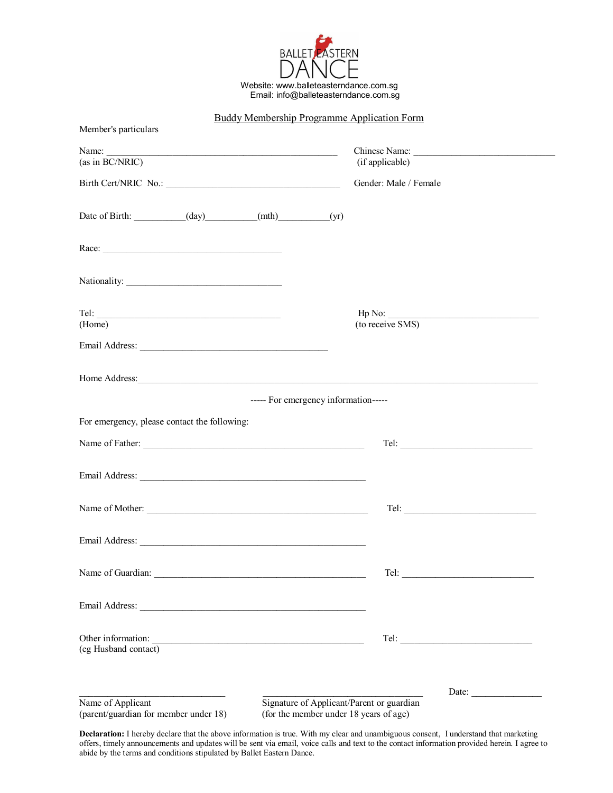

Buddy Membership Programme Application Form

## Member's particulars Name: \_\_\_\_\_\_\_\_\_\_\_\_\_\_\_\_\_\_\_\_\_\_\_\_\_\_\_\_\_\_\_\_\_\_\_\_\_\_\_\_\_\_\_\_\_\_\_\_\_ Chinese Name: \_\_\_\_\_\_\_\_\_\_\_\_\_\_\_\_\_\_\_\_\_\_\_\_\_\_\_\_\_\_ (as in BC/NRIC) (if applicable) Birth Cert/NRIC No.: Gender: Male / Female Date of Birth:  $(\text{day})$  (mth)  $(\text{yr})$ Race: Nationality: \_\_\_\_\_\_\_\_\_\_\_\_\_\_\_\_\_\_\_\_\_\_\_\_\_\_\_\_\_\_\_\_\_ Tel:  $\Box$ (Home) (to receive SMS) Email Address: \_\_\_\_\_\_\_\_\_\_\_\_\_\_\_\_\_\_\_\_\_\_\_\_\_\_\_\_\_\_\_\_\_\_\_\_\_\_\_\_ Home Address: ----- For emergency information----- For emergency, please contact the following: Name of Father: \_\_\_\_\_\_\_\_\_\_\_\_\_\_\_\_\_\_\_\_\_\_\_\_\_\_\_\_\_\_\_\_\_\_\_\_\_\_\_\_\_\_\_\_\_\_\_ Tel: \_\_\_\_\_\_\_\_\_\_\_\_\_\_\_\_\_\_\_\_\_\_\_\_\_\_\_\_ Email Address: Name of Mother:  $\Box$ Email Address: Name of Guardian: \_\_\_\_\_\_\_\_\_\_\_\_\_\_\_\_\_\_\_\_\_\_\_\_\_\_\_\_\_\_\_\_\_\_\_\_\_\_\_\_\_\_\_\_\_ Tel: \_\_\_\_\_\_\_\_\_\_\_\_\_\_\_\_\_\_\_\_\_\_\_\_\_\_\_\_ Email Address: \_\_\_\_\_\_\_\_\_\_\_\_\_\_\_\_\_\_\_\_\_\_\_\_\_\_\_\_\_\_\_\_\_\_\_\_\_\_\_\_\_\_\_\_\_\_\_\_ Other information: \_\_\_\_\_\_\_\_\_\_\_\_\_\_\_\_\_\_\_\_\_\_\_\_\_\_\_\_\_\_\_\_\_\_\_\_\_\_\_\_\_\_\_\_\_ Tel: \_\_\_\_\_\_\_\_\_\_\_\_\_\_\_\_\_\_\_\_\_\_\_\_\_\_\_\_ (eg Husband contact)

Name of Applicant Signature of Applicant/Parent or guardian (parent/guardian for member under 18) (for the member under 18 years of age)

Date:  $\Box$ 

**Declaration:** I hereby declare that the above information is true. With my clear and unambiguous consent, I understand that marketing offers, timely announcements and updates will be sent via email, voice calls and text to the contact information provided herein. I agree to abide by the terms and conditions stipulated by Ballet Eastern Dance.